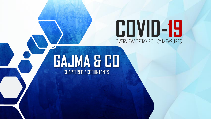# OVERVIEW OFTAX POLICY MEASURES **COVID-19**

# CHARTERED ACCOUNTANTS **GAJMA & CO**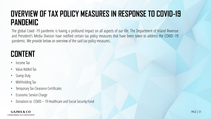# **OVERVIEW OF TAX POLICY MEASURES IN RESPONSE TO COVID-19 PANDEMIC**

The global Covid -19 pandemic is having a profound impact on all aspects of our life. The Department of Inland Revenue and President's Media Division have notified certain tax policy measures that have been taken to address the COVID -19 pandemic. We provide below an overview of the said tax policy measures.

# **CONTENT**

- Income Tax
- Value Added Tax
- Stamp Duty
- Withholding Tax
- Temporary Tax Clearance Certificates
- Economic Service Charge
- Donations to COVID 19 Healthcare and Social Security Fund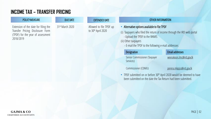## **INCOME TAX – TRANSFER PRICING**

Extension of the date for filing the Transfer Pricing Disclosure Form (TPDF) for the year of assessment 2018/2019

31st March 2020 Allowed to file TPDF up to 30th April 2020

### POLICY MEASURE EXTENDED DATE THE DUE DATE AND DUE DATE DUE DATE OTHER INFORMATION

- Alternative options available to file TPDF
- (i) Taxpayers who filed the return of income through the IRD web portal - Upload the TPDF to the RAMIS

### (ii) Other taxpayers

- E-mail the TPDF to the following e-mail addresses

### Designation Email addresses

Senior Commissioner (Taxpayer Services)

### weerakoon.lmc@ird.gov.lk

Commissioner (CDMU) perera.mkpjss@ird.gov.lk

• TPDF submitted on or before 30<sup>th</sup> April 2020 would be deemed to have been submitted on the date the Tax Return had been submitted.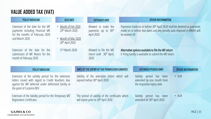# **VALUE ADDED TAX (VAT)**

| <b>POLICY MEASURE</b>                                                                                                                                                                       | <b>DUE DATE</b>                                                                            | <b>EXTENDED DATE</b>                                                                                 |                | OTHER INFORMATION                                                                                                                                            |                   |
|---------------------------------------------------------------------------------------------------------------------------------------------------------------------------------------------|--------------------------------------------------------------------------------------------|------------------------------------------------------------------------------------------------------|----------------|--------------------------------------------------------------------------------------------------------------------------------------------------------------|-------------------|
| Extension of the date for the VAT<br>payments including Financial VAT<br>for the months of February 2020<br>and March 2020                                                                  | • Month of Feb 2020<br>20th March 2020<br>Month of Mar 2020<br>20 <sup>th</sup> April 2020 | Allowed to make the<br>payments up to 30 <sup>th</sup><br>April 2020                                 | be waived off. | Payments made on or before 30 <sup>th</sup> April 2020 shall be deemed as payments<br>made on or before due dates and any penalty auto imposed in RAMIS will |                   |
| Extension of the date for the<br>submission of VAT Return for the<br>month of February 2020                                                                                                 | 31st March 2020                                                                            | Allowed to file the VAT<br>return until 30 <sup>th</sup> April,<br>2020                              |                | Alternative options available to file the VAT return<br>E-Filing facility is available to submit the VAT return                                              |                   |
|                                                                                                                                                                                             |                                                                                            |                                                                                                      |                |                                                                                                                                                              |                   |
| <b>POLICY MEASURE</b>                                                                                                                                                                       |                                                                                            | DATE OF THE EXPIRY OF THE PERMISSION GRANTED                                                         |                | <b>EXTENDED PERIOD/DATE</b>                                                                                                                                  | OTHER INFORMATION |
| Extension of the validity period for the extension<br>letters issued with regard to Credit Vouchers due<br>against the VAT deferred under deferment facility at<br>the point of Customs/BOI |                                                                                            | Validity of the extension letters which will<br>expired before 30 <sup>th</sup> April 2020           |                | Validity period has been<br>extended by one month from<br>the respective expiry date                                                                         | $\bullet$ N/R     |
| Extension of the Validity period for the Temporary VAT<br><b>Registration Certificates</b>                                                                                                  |                                                                                            | The period of validity of the certificates which<br>will expire prior to 30 <sup>th</sup> April 2020 |                | Validity period<br>has been<br>extended till 30 <sup>th</sup> April 2020                                                                                     | $\bullet$ N/R     |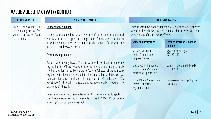# **VALUE ADDED TAX (VAT) (CONTD.)**

Online application to obtain the registration for VAT to clear goods from the Customs

### POLICY MEASURE PERMISSION GRANTED OTHER INFORMATION

### Permanent Registration

Persons who already have a Taxpayer Identification Number (TIN) and who wish to obtain a permanent registration for VAT are requested to apply for permanent VAT registration through e-Services facility available in the IRD Portal www.ird.gov.lk

### Temporary Registration

Persons who already have a TIN and who wish to obtain a temporary registration for VAT are requested to email the scanned image of duly filled application signed by the owner/partner/director of the company together with documents related to the importation and two contact numbers for any clarification if required, to Commissioner (Tax Registration) through nanayakkara.nwpas@ird.gov.lk copying to desilva.apt@ird.gov.lk.

Persons who does not have obtained a TIN are requested to apply for TIN through e-Service facility available in the IRD Web Portal before applying for the temporary registration

Persons who have applied for the VAT registration are requested to inform the acknowledgement number that received via the eservice to any of the following officers.

| <b>Name and Designation</b>                                                     | <b>Email address and telephone</b><br>number |
|---------------------------------------------------------------------------------|----------------------------------------------|
| Mr. M.S. M. Siyaan<br>Senior Commissioner<br>(Taxpayer Services)                | siyaan.msm@ird.gov.lk<br>0773291887          |
| Mrs. D.H.D. Satharasinghe<br>Commissioner (Customer<br>Information Update Unit) | satharasinghe.dhd@ird.gov.lk<br>0714451148   |
| Mr. N.W.P.A.S. Nanayakkara<br>Commissioner (Tax<br><b>Registration Unit)</b>    | nanayakkara.nwpas@ird.gov.lk<br>0761492625   |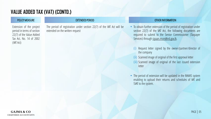# **VALUE ADDED TAX (VAT) (CONTD.)**

Extension of the project period in terms of section 22(7) of the Value Added Tax Act, No. 14 of 2002 (VATAct)

### EXTENDED PERIOD

The period of registration under section 22(7) of the VAT Act will be extended on the written request

### POLICY MEASURE EXTENDED PERIOD AND THE RESERVE TO THE RINFORMATION

- To obtain further extension of the period of registration under section 22(7) of the VAT Act, the following documents are required to submit to the Senior Commissioner (Taxpayer Services) through siyaan.msm@ird.gov.lk.
	- (i) Request letter signed by the owner/partner/director of the company
	- (ii) Scanned image of original of the first approval letter
	- (iii) Scanned image of original of the last issued extension letter
- The period of extension will be updated in the RAMIS system enabling to upload their returns and schedules of VAT and SVAT to the system.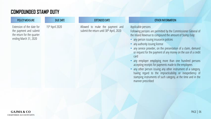# **COMPOUNDED STAMP DUTY**

Extension of the date for the payment and submit the return for the quarter ending March 31, 2020

### DUE DATE EXTENDED DATE

15<sup>th</sup> April 2020 **Allowed** to make the payment and submit the return until 30<sup>th</sup> April, 2020

### POLICY MEASURE THE DUE DATE THE DUE ON THE DUE ON THE DUE OF THE RIVE OTHER INFORMATION

### Applicable persons

Following persons are permitted by the Commissioner General of the Inland Revenue to compound the amount of Stamp Duty:

- any person issuing insurance policies
- any authority issuing license
- any service provider, on the presentation of a claim, demand or request for the payment of any money on the use of a credit card
- any employer employing more than one hundred persons accepting receipts for payments made to the employees
- any other person issuing any other instrument of a category, having regard to the impracticability or inexpediency of stamping instruments of such category, at the time and in the manner prescribed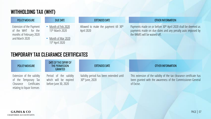## **WITHHOLDING TAX (WHT)**

Extension of the Payment of the WHT for the months of February 2020 and March 2020

• Month of Feb 2020 15<sup>th</sup> March 2020

• Month of Mar 2020 15th April 2020

Allowed to make the payment till 30th April 2020

### POLICY MEASURE **EXTENDED DATE** EXTENDED DATE OTHER INFORMATION

Payments made on or before 30<sup>th</sup> April 2020 shall be deemed as payments made on due dates and any penalty auto imposed by the RAMIS will be waived off.

# **TEMPORARY TAX CLEARANCE CERTIFICATES**

Extension of the validity of the Temporary Tax Clearance Certificates relating to liquor licenses

### DATE OF THE EXPIRY OF THE PERMISSION GRANTED

Period of the validity which will be expired before June 30, 2020

### EXTENDED DATE

Validity period has been extended until 30th June, 2020

### POLICY MEASURE THE PERMISSION EXTENDED DATE THE RESERVED OTHER INFORMATION

This extension of the validity of the tax clearance certificate has been granted with the awareness of the Commissioner-General of Excise.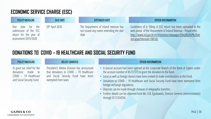# **ECONOMIC SERVICE CHARGE (ESC)**

|--|

Due date for the submission of the ESC return for the year of assessment 2019/2020

### DUE DATE

20<sup>th</sup> April 2020 The Department of Inland revenue has not issued any notice extending the due date

### EXTENDED DATE OTHER INFORMATION

Guidelines of e- filling of ESC return has been uploaded to the web portal of the Department of Inland Revenue - Please refer http://www.ird.gov.lk/en/eServices/sitepages/Filing%20of%20ret urn.aspx?menuid=180102

# **DONATIONS TO COVID – 19 HEALTHCARE AND SOCIAL SECURITY FUND**

### POLICY MEASURE

To grant tax relief for the donations made to COVID – 19 Healthcare and Social Security Fund

President's Media Division has announced that donations to COVID – 19 Healthcare and Social Security Fund have been exempted from taxes

### RELIEF GRANTED OTHER INFORMATION

- A special account had been opened at the Corporate Branch of the Bank of Ceylon under the account number of 85737373 to grant the donation to the fund.
- Local as well as foreign donors have been invited to make contributions to the Fund.
- Donations to COVID 19 Healthcare and Social Security Fund have been exempted from foreign exchange regulations.
- Deposits can be made through cheques or telegraphic transfers.
- Further details can be obtained from Mr. K.B. Egodawela, Director General (Administration) through 0112354354.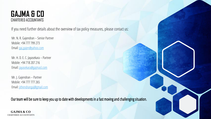## CHARTERED ACCOUNTANTS **GAJMA & CO**

If you need further details about the overview of tax policy measures, please contact us:

Mr. N. R. Gajendran – Senior Partner Mobile: +94 777 799 273 Email: [gaj.gajen@yahoo.com](mailto:gajen@gajmasl.com)

Mr. H. D. E. C. Jayasekara – Partner Mobile: +94 718 207 216 Email: [jayasekara@gajmasl.com](mailto:jayasekara@gajmasl.com)

Mr. J. Gajendran – Partner Mobile: +94 777 777 265 Email: [jithendrangaj@gmail.com](mailto:jithendrangaj@gmail.com)

Our team will be sure to keep you up to date with developments in a fast moving and challenging situation.

**GAJMA & CO** CHARTERED ACCOUNTANTS